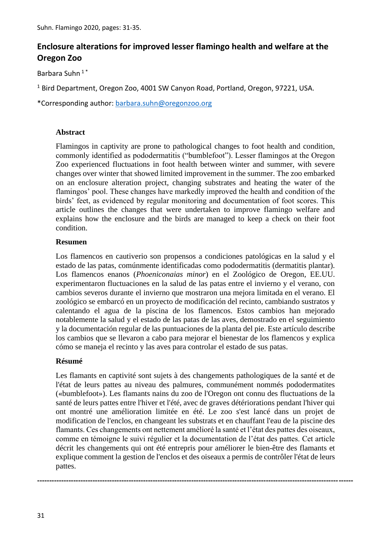# **Enclosure alterations for improved lesser flamingo health and welfare at the Oregon Zoo**

Barbara Suhn 1 \*

<sup>1</sup> Bird Department, Oregon Zoo, 4001 SW Canyon Road, Portland, Oregon, 97221, USA.

\*Corresponding author: [barbara.suhn@oregonzoo.org](mailto:barbara.suhn@oregonzoo.org)

#### **Abstract**

Flamingos in captivity are prone to pathological changes to foot health and condition, commonly identified as pododermatitis ("bumblefoot"). Lesser flamingos at the Oregon Zoo experienced fluctuations in foot health between winter and summer, with severe changes over winter that showed limited improvement in the summer. The zoo embarked on an enclosure alteration project, changing substrates and heating the water of the flamingos' pool. These changes have markedly improved the health and condition of the birds' feet, as evidenced by regular monitoring and documentation of foot scores. This article outlines the changes that were undertaken to improve flamingo welfare and explains how the enclosure and the birds are managed to keep a check on their foot condition.

## **Resumen**

Los flamencos en cautiverio son propensos a condiciones patológicas en la salud y el estado de las patas, comúnmente identificadas como pododermatitis (dermatitis plantar). Los flamencos enanos (*Phoeniconaias minor*) en el Zoológico de Oregon, EE.UU. experimentaron fluctuaciones en la salud de las patas entre el invierno y el verano, con cambios severos durante el invierno que mostraron una mejora limitada en el verano. El zoológico se embarcó en un proyecto de modificación del recinto, cambiando sustratos y calentando el agua de la piscina de los flamencos. Estos cambios han mejorado notablemente la salud y el estado de las patas de las aves, demostrado en el seguimiento y la documentación regular de las puntuaciones de la planta del pie. Este artículo describe los cambios que se llevaron a cabo para mejorar el bienestar de los flamencos y explica cómo se maneja el recinto y las aves para controlar el estado de sus patas.

# **Résumé**

Les flamants en captivité sont sujets à des changements pathologiques de la santé et de l'état de leurs pattes au niveau des palmures, communément nommés pododermatites («bumblefoot»). Les flamants nains du zoo de l'Oregon ont connu des fluctuations de la santé de leurs pattes entre l'hiver et l'été, avec de graves détériorations pendant l'hiver qui ont montré une amélioration limitée en été. Le zoo s'est lancé dans un projet de modification de l'enclos, en changeant les substrats et en chauffant l'eau de la piscine des flamants. Ces changements ont nettement amélioré la santé et l'état des pattes des oiseaux, comme en témoigne le suivi régulier et la documentation de l'état des pattes. Cet article décrit les changements qui ont été entrepris pour améliorer le bien-être des flamants et explique comment la gestion de l'enclos et des oiseaux a permis de contrôler l'état de leurs pattes.

**-----------------------------------------------------------------------------------------------------------------------------------**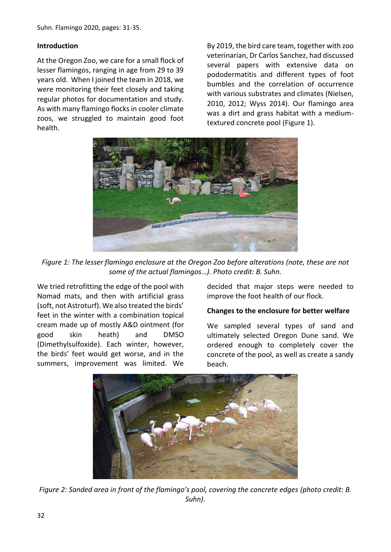Suhn. Flamingo 2020, pages: 31-35.

#### **Introduction**

At the Oregon Zoo, we care for a small flock of lesser flamingos, ranging in age from 29 to 39 years old. When I joined the team in 2018, we were monitoring their feet closely and taking regular photos for documentation and study. As with many flamingo flocks in cooler climate zoos, we struggled to maintain good foot health.

By 2019, the bird care team, together with zoo veterinarian, Dr Carlos Sanchez, had discussed several papers with extensive data on pododermatitis and different types of foot bumbles and the correlation of occurrence with various substrates and climates (Nielsen, 2010, 2012; Wyss 2014). Our flamingo area was a dirt and grass habitat with a mediumtextured concrete pool (Figure 1).



*Figure 1: The lesser flamingo enclosure at the Oregon Zoo before alterations (note, these are not some of the actual flamingos…). Photo credit: B. Suhn.*

We tried retrofitting the edge of the pool with Nomad mats, and then with artificial grass (soft, not Astroturf). We also treated the birds' feet in the winter with a combination topical cream made up of mostly A&D ointment (for good skin heath) and DMSO (Dimethylsulfoxide). Each winter, however, the birds' feet would get worse, and in the summers, improvement was limited. We

decided that major steps were needed to improve the foot health of our flock.

#### **Changes to the enclosure for better welfare**

We sampled several types of sand and ultimately selected Oregon Dune sand. We ordered enough to completely cover the concrete of the pool, as well as create a sandy beach.



*Figure 2: Sanded area in front of the flamingo's pool, covering the concrete edges (photo credit: B. Suhn).*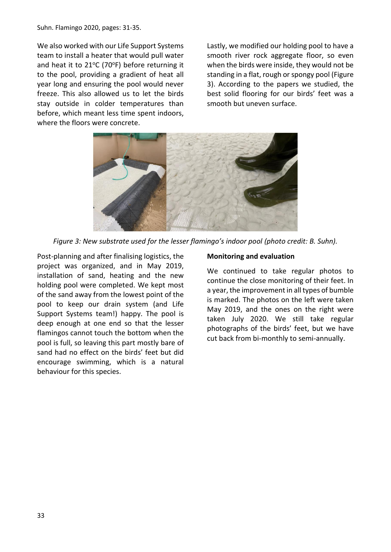Suhn. Flamingo 2020, pages: 31-35.

We also worked with our Life Support Systems team to install a heater that would pull water and heat it to  $21^{\circ}$ C (70°F) before returning it to the pool, providing a gradient of heat all year long and ensuring the pool would never freeze. This also allowed us to let the birds stay outside in colder temperatures than before, which meant less time spent indoors, where the floors were concrete.

Lastly, we modified our holding pool to have a smooth river rock aggregate floor, so even when the birds were inside, they would not be standing in a flat, rough or spongy pool (Figure 3). According to the papers we studied, the best solid flooring for our birds' feet was a smooth but uneven surface.



*Figure 3: New substrate used for the lesser flamingo's indoor pool (photo credit: B. Suhn).*

Post-planning and after finalising logistics, the project was organized, and in May 2019, installation of sand, heating and the new holding pool were completed. We kept most of the sand away from the lowest point of the pool to keep our drain system (and Life Support Systems team!) happy. The pool is deep enough at one end so that the lesser flamingos cannot touch the bottom when the pool is full, so leaving this part mostly bare of sand had no effect on the birds' feet but did encourage swimming, which is a natural behaviour for this species.

#### **Monitoring and evaluation**

We continued to take regular photos to continue the close monitoring of their feet. In a year, the improvement in all types of bumble is marked. The photos on the left were taken May 2019, and the ones on the right were taken July 2020. We still take regular photographs of the birds' feet, but we have cut back from bi-monthly to semi-annually.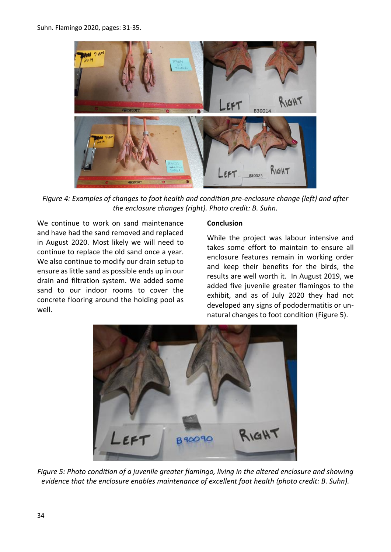

*Figure 4: Examples of changes to foot health and condition pre-enclosure change (left) and after the enclosure changes (right). Photo credit: B. Suhn.*

We continue to work on sand maintenance and have had the sand removed and replaced in August 2020. Most likely we will need to continue to replace the old sand once a year. We also continue to modify our drain setup to ensure as little sand as possible ends up in our drain and filtration system. We added some sand to our indoor rooms to cover the concrete flooring around the holding pool as well.

#### **Conclusion**

While the project was labour intensive and takes some effort to maintain to ensure all enclosure features remain in working order and keep their benefits for the birds, the results are well worth it. In August 2019, we added five juvenile greater flamingos to the exhibit, and as of July 2020 they had not developed any signs of pododermatitis or unnatural changes to foot condition (Figure 5).



*Figure 5: Photo condition of a juvenile greater flamingo, living in the altered enclosure and showing evidence that the enclosure enables maintenance of excellent foot health (photo credit: B. Suhn).*